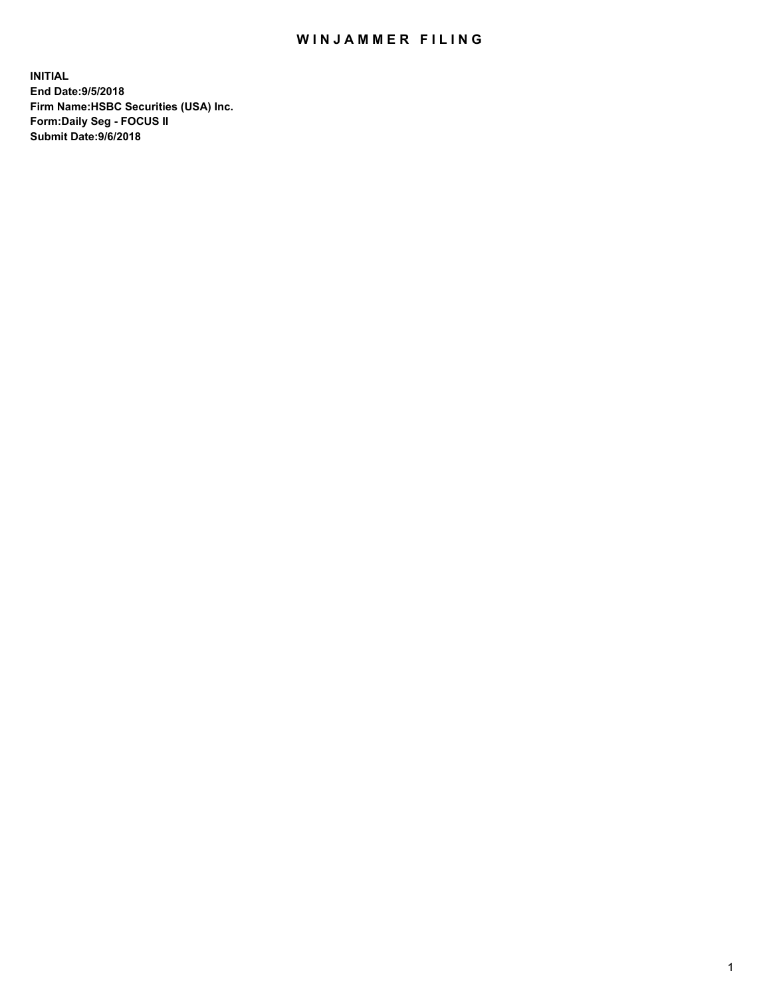## WIN JAMMER FILING

**INITIAL End Date:9/5/2018 Firm Name:HSBC Securities (USA) Inc. Form:Daily Seg - FOCUS II Submit Date:9/6/2018**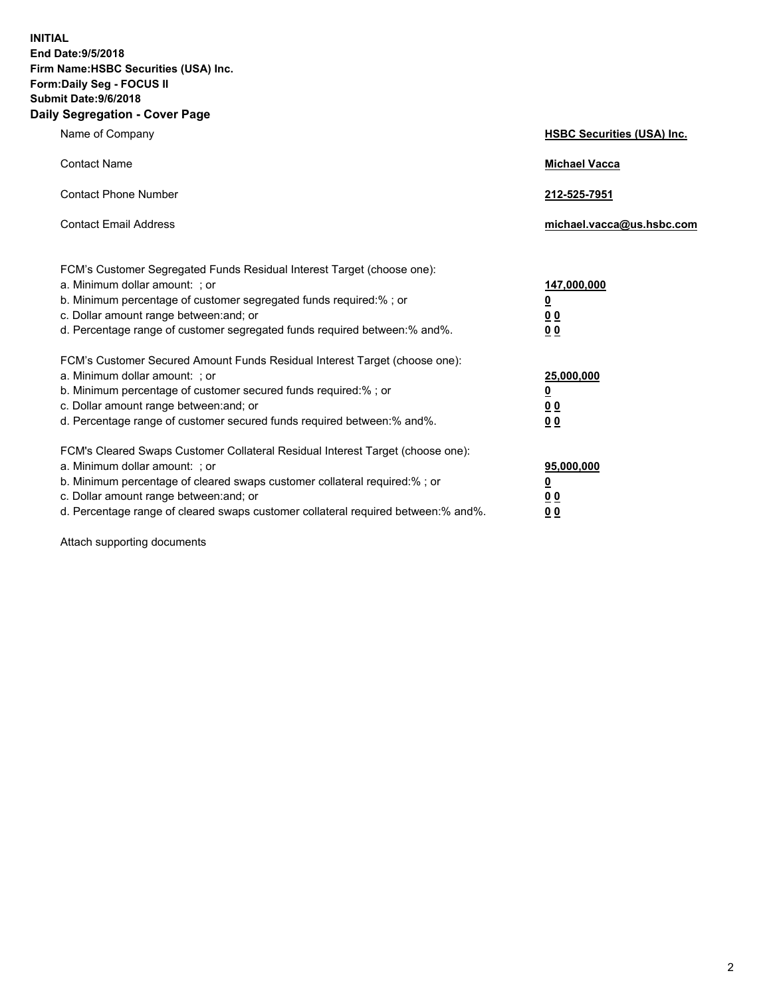**INITIAL End Date:9/5/2018 Firm Name:HSBC Securities (USA) Inc. Form:Daily Seg - FOCUS II Submit Date:9/6/2018 Daily Segregation - Cover Page**

| Name of Company                                                                                                                                                                                                                                                                                                                | <b>HSBC Securities (USA) Inc.</b>                                          |
|--------------------------------------------------------------------------------------------------------------------------------------------------------------------------------------------------------------------------------------------------------------------------------------------------------------------------------|----------------------------------------------------------------------------|
| <b>Contact Name</b>                                                                                                                                                                                                                                                                                                            | <b>Michael Vacca</b>                                                       |
| <b>Contact Phone Number</b>                                                                                                                                                                                                                                                                                                    | 212-525-7951                                                               |
| <b>Contact Email Address</b>                                                                                                                                                                                                                                                                                                   | michael.vacca@us.hsbc.com                                                  |
| FCM's Customer Segregated Funds Residual Interest Target (choose one):<br>a. Minimum dollar amount: ; or<br>b. Minimum percentage of customer segregated funds required:% ; or<br>c. Dollar amount range between: and; or<br>d. Percentage range of customer segregated funds required between:% and%.                         | 147,000,000<br>$\overline{\mathbf{0}}$<br>0 <sub>0</sub><br>0 <sub>0</sub> |
| FCM's Customer Secured Amount Funds Residual Interest Target (choose one):<br>a. Minimum dollar amount: ; or<br>b. Minimum percentage of customer secured funds required:%; or<br>c. Dollar amount range between: and; or<br>d. Percentage range of customer secured funds required between:% and%.                            | 25,000,000<br><u>0</u><br>0 <sub>0</sub><br>0 <sub>0</sub>                 |
| FCM's Cleared Swaps Customer Collateral Residual Interest Target (choose one):<br>a. Minimum dollar amount: ; or<br>b. Minimum percentage of cleared swaps customer collateral required:% ; or<br>c. Dollar amount range between: and; or<br>d. Percentage range of cleared swaps customer collateral required between:% and%. | 95,000,000<br><u>0</u><br><u>00</u><br>00                                  |

Attach supporting documents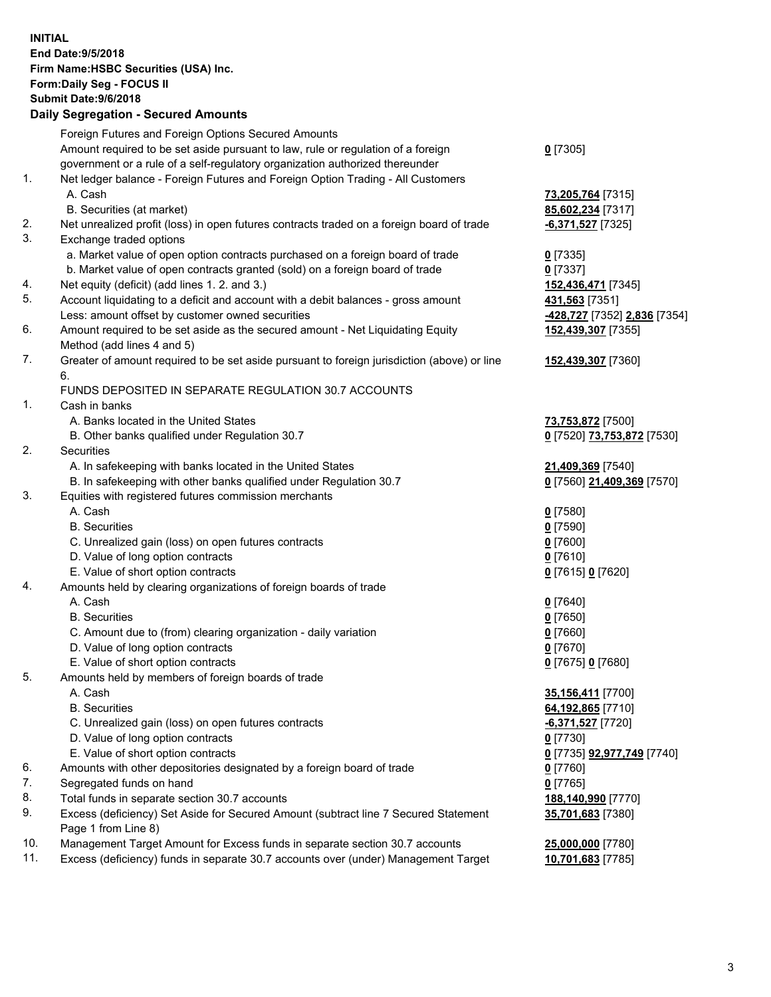**INITIAL End Date:9/5/2018 Firm Name:HSBC Securities (USA) Inc. Form:Daily Seg - FOCUS II Submit Date:9/6/2018 Daily Segregation - Secured Amounts** Foreign Futures and Foreign Options Secured Amounts Amount required to be set aside pursuant to law, rule or regulation of a foreign government or a rule of a self-regulatory organization authorized thereunder **0** [7305] 1. Net ledger balance - Foreign Futures and Foreign Option Trading - All Customers A. Cash **73,205,764** [7315] B. Securities (at market) **85,602,234** [7317] 2. Net unrealized profit (loss) in open futures contracts traded on a foreign board of trade **-6,371,527** [7325] 3. Exchange traded options a. Market value of open option contracts purchased on a foreign board of trade **0** [7335] b. Market value of open contracts granted (sold) on a foreign board of trade **0** [7337] 4. Net equity (deficit) (add lines 1. 2. and 3.) **152,436,471** [7345] 5. Account liquidating to a deficit and account with a debit balances - gross amount **431,563** [7351] Less: amount offset by customer owned securities **-428,727** [7352] **2,836** [7354] 6. Amount required to be set aside as the secured amount - Net Liquidating Equity Method (add lines 4 and 5) **152,439,307** [7355] 7. Greater of amount required to be set aside pursuant to foreign jurisdiction (above) or line 6. **152,439,307** [7360] FUNDS DEPOSITED IN SEPARATE REGULATION 30.7 ACCOUNTS 1. Cash in banks A. Banks located in the United States **73,753,872** [7500] B. Other banks qualified under Regulation 30.7 **0** [7520] **73,753,872** [7530] 2. Securities A. In safekeeping with banks located in the United States **21,409,369** [7540] B. In safekeeping with other banks qualified under Regulation 30.7 **0** [7560] **21,409,369** [7570] 3. Equities with registered futures commission merchants A. Cash **0** [7580] B. Securities **0** [7590] C. Unrealized gain (loss) on open futures contracts **0** [7600] D. Value of long option contracts **0** [7610] E. Value of short option contracts **0** [7615] **0** [7620] 4. Amounts held by clearing organizations of foreign boards of trade A. Cash **0** [7640] B. Securities **0** [7650] C. Amount due to (from) clearing organization - daily variation **0** [7660] D. Value of long option contracts **0** [7670] E. Value of short option contracts **0** [7675] **0** [7680] 5. Amounts held by members of foreign boards of trade A. Cash **35,156,411** [7700] B. Securities **64,192,865** [7710] C. Unrealized gain (loss) on open futures contracts **-6,371,527** [7720] D. Value of long option contracts **0** [7730] E. Value of short option contracts **0** [7735] **92,977,749** [7740] 6. Amounts with other depositories designated by a foreign board of trade **0** [7760] 7. Segregated funds on hand **0** [7765] 8. Total funds in separate section 30.7 accounts **188,140,990** [7770] 9. Excess (deficiency) Set Aside for Secured Amount (subtract line 7 Secured Statement Page 1 from Line 8) **35,701,683** [7380] 10. Management Target Amount for Excess funds in separate section 30.7 accounts **25,000,000** [7780] 11. Excess (deficiency) funds in separate 30.7 accounts over (under) Management Target **10,701,683** [7785]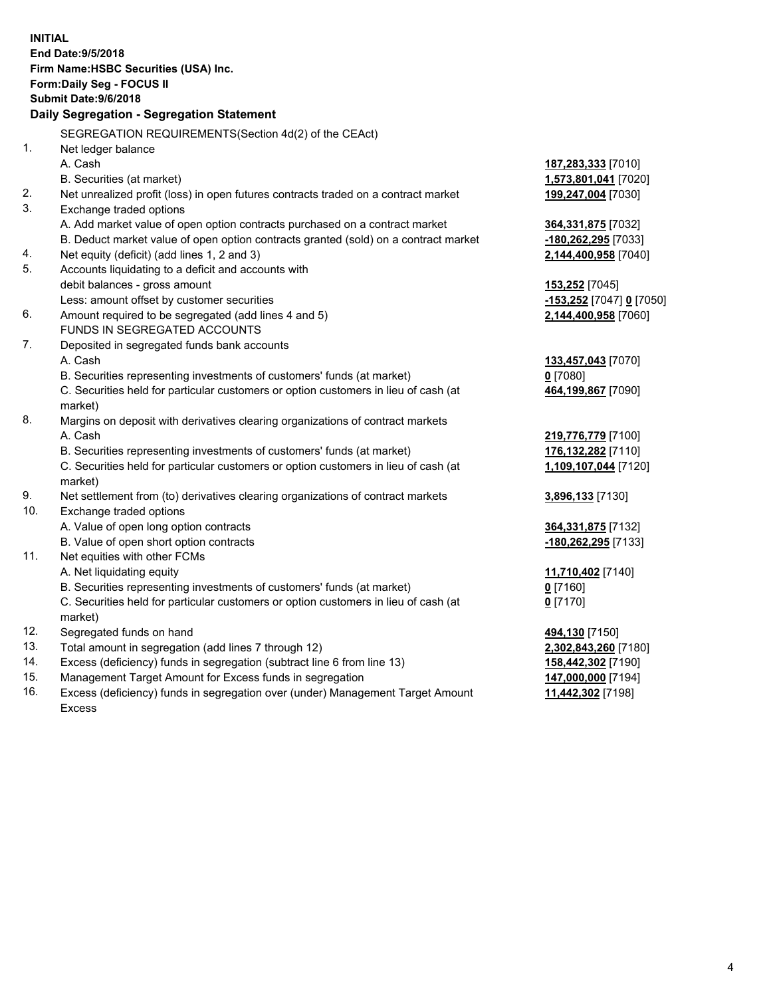|     | <b>INITIAL</b><br>End Date: 9/5/2018<br>Firm Name: HSBC Securities (USA) Inc.<br><b>Form:Daily Seg - FOCUS II</b><br><b>Submit Date: 9/6/2018</b><br>Daily Segregation - Segregation Statement |                                                    |
|-----|------------------------------------------------------------------------------------------------------------------------------------------------------------------------------------------------|----------------------------------------------------|
|     | SEGREGATION REQUIREMENTS(Section 4d(2) of the CEAct)                                                                                                                                           |                                                    |
| 1.  | Net ledger balance                                                                                                                                                                             |                                                    |
|     | A. Cash                                                                                                                                                                                        | 187,283,333 [7010]                                 |
|     | B. Securities (at market)                                                                                                                                                                      | 1,573,801,041 [7020]                               |
| 2.  | Net unrealized profit (loss) in open futures contracts traded on a contract market                                                                                                             | 199,247,004 [7030]                                 |
| 3.  | Exchange traded options                                                                                                                                                                        |                                                    |
|     | A. Add market value of open option contracts purchased on a contract market                                                                                                                    | 364,331,875 [7032]                                 |
|     | B. Deduct market value of open option contracts granted (sold) on a contract market                                                                                                            | <u>-180,262,295</u> [7033]                         |
| 4.  | Net equity (deficit) (add lines 1, 2 and 3)                                                                                                                                                    | 2,144,400,958 [7040]                               |
| 5.  | Accounts liquidating to a deficit and accounts with                                                                                                                                            |                                                    |
|     | debit balances - gross amount                                                                                                                                                                  | <u>153,252</u> [7045]                              |
|     | Less: amount offset by customer securities                                                                                                                                                     | <mark>-153,252</mark> [7047] <mark>0</mark> [7050] |
| 6.  | Amount required to be segregated (add lines 4 and 5)                                                                                                                                           | 2,144,400,958 [7060]                               |
|     | FUNDS IN SEGREGATED ACCOUNTS                                                                                                                                                                   |                                                    |
| 7.  | Deposited in segregated funds bank accounts                                                                                                                                                    |                                                    |
|     | A. Cash                                                                                                                                                                                        | <u>133,457,043</u> [7070]                          |
|     | B. Securities representing investments of customers' funds (at market)                                                                                                                         | $0$ [7080]                                         |
|     | C. Securities held for particular customers or option customers in lieu of cash (at<br>market)                                                                                                 | 464,199,867 [7090]                                 |
| 8.  | Margins on deposit with derivatives clearing organizations of contract markets                                                                                                                 |                                                    |
|     | A. Cash                                                                                                                                                                                        | 219,776,779 [7100]                                 |
|     | B. Securities representing investments of customers' funds (at market)                                                                                                                         | 176,132,282 [7110]                                 |
|     | C. Securities held for particular customers or option customers in lieu of cash (at                                                                                                            | 1,109,107,044 [7120]                               |
|     | market)                                                                                                                                                                                        |                                                    |
| 9.  | Net settlement from (to) derivatives clearing organizations of contract markets                                                                                                                | <u>3,896,133</u> [7130]                            |
| 10. | Exchange traded options                                                                                                                                                                        |                                                    |
|     | A. Value of open long option contracts                                                                                                                                                         | 364,331,875 [7132]                                 |
|     | B. Value of open short option contracts                                                                                                                                                        | -180,262,295 [7133]                                |
| 11. | Net equities with other FCMs                                                                                                                                                                   |                                                    |
|     | A. Net liquidating equity                                                                                                                                                                      | <u>11,710,402</u> [7140]                           |
|     | B. Securities representing investments of customers' funds (at market)                                                                                                                         | $0$ [7160]                                         |
|     | C. Securities held for particular customers or option customers in lieu of cash (at                                                                                                            | 0 <sup>[7170]</sup>                                |
|     | market)                                                                                                                                                                                        |                                                    |
| 12. | Segregated funds on hand                                                                                                                                                                       | 494,130 [7150]                                     |
| 13. | Total amount in segregation (add lines 7 through 12)                                                                                                                                           | 2,302,843,260 [7180]                               |
| 14. | Excess (deficiency) funds in segregation (subtract line 6 from line 13)                                                                                                                        | <u>158,442,302</u> [7190]                          |
| 15. | Management Target Amount for Excess funds in segregation                                                                                                                                       | 147,000,000 [7194]                                 |

16. Excess (deficiency) funds in segregation over (under) Management Target Amount Excess

**11,442,302** [7198]